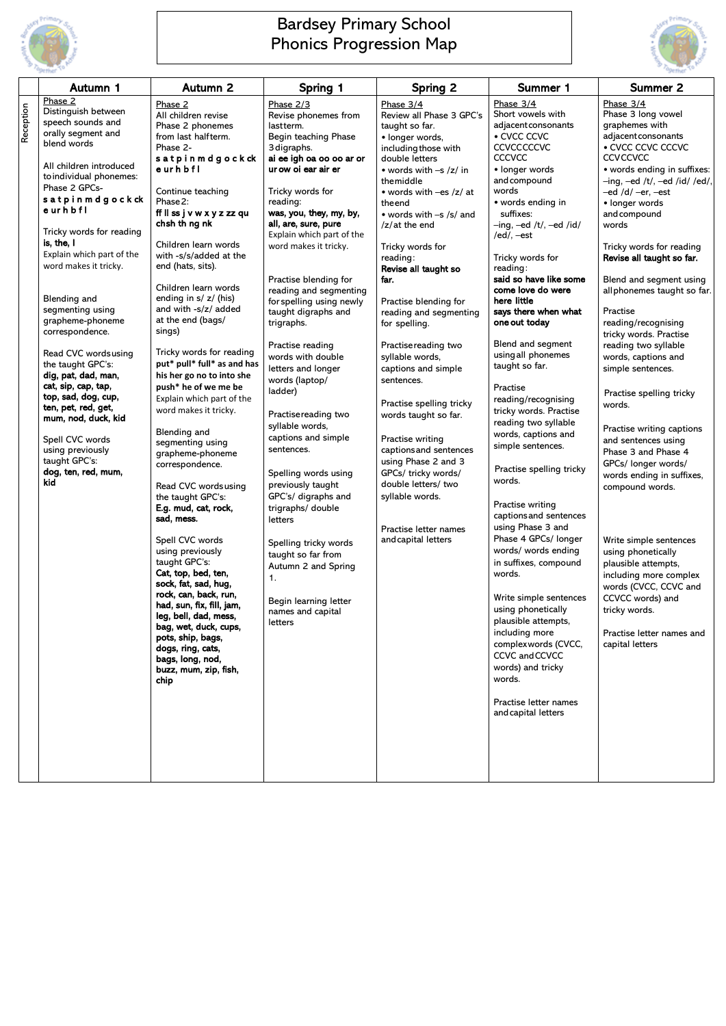|           | Autumn 1                                                                                                                                                                                                                                                                                                                                                                                                                                                                                                                                           | <b>Autumn 2</b>                                                                                                                                                                                                                                                                                                                                                                                                                                                                                                                                                                                                                                                                                                                                                                                                                                                                                                                               | Spring 1                                                                                                                                                                                                                                                                                                                                                                                                                                                                                                                                                                                                                                                                                                                          | <b>Spring 2</b>                                                                                                                                                                                                                                                                                                                                                                                                                                                                                                                                                                                               | Summer 1                                                                                                                                                                                                                                                                                                                                                                                                                                                                                                                                                                                                                                                                                                                                                                                                                              | <b>Summer 2</b>                                                                                                                                                                                                                                                                                                                                                                                                                                                                                                                                                                                                                                                                                                                                                                                                     |
|-----------|----------------------------------------------------------------------------------------------------------------------------------------------------------------------------------------------------------------------------------------------------------------------------------------------------------------------------------------------------------------------------------------------------------------------------------------------------------------------------------------------------------------------------------------------------|-----------------------------------------------------------------------------------------------------------------------------------------------------------------------------------------------------------------------------------------------------------------------------------------------------------------------------------------------------------------------------------------------------------------------------------------------------------------------------------------------------------------------------------------------------------------------------------------------------------------------------------------------------------------------------------------------------------------------------------------------------------------------------------------------------------------------------------------------------------------------------------------------------------------------------------------------|-----------------------------------------------------------------------------------------------------------------------------------------------------------------------------------------------------------------------------------------------------------------------------------------------------------------------------------------------------------------------------------------------------------------------------------------------------------------------------------------------------------------------------------------------------------------------------------------------------------------------------------------------------------------------------------------------------------------------------------|---------------------------------------------------------------------------------------------------------------------------------------------------------------------------------------------------------------------------------------------------------------------------------------------------------------------------------------------------------------------------------------------------------------------------------------------------------------------------------------------------------------------------------------------------------------------------------------------------------------|---------------------------------------------------------------------------------------------------------------------------------------------------------------------------------------------------------------------------------------------------------------------------------------------------------------------------------------------------------------------------------------------------------------------------------------------------------------------------------------------------------------------------------------------------------------------------------------------------------------------------------------------------------------------------------------------------------------------------------------------------------------------------------------------------------------------------------------|---------------------------------------------------------------------------------------------------------------------------------------------------------------------------------------------------------------------------------------------------------------------------------------------------------------------------------------------------------------------------------------------------------------------------------------------------------------------------------------------------------------------------------------------------------------------------------------------------------------------------------------------------------------------------------------------------------------------------------------------------------------------------------------------------------------------|
| Reception | Phase 2<br>Distinguish between<br>speech sounds and<br>orally segment and<br>blend words                                                                                                                                                                                                                                                                                                                                                                                                                                                           | Phase 2<br>All children revise<br>Phase 2 phonemes<br>from last halfterm.<br>Phase 2-                                                                                                                                                                                                                                                                                                                                                                                                                                                                                                                                                                                                                                                                                                                                                                                                                                                         | Phase 2/3<br>Revise phonemes from<br>lastterm.<br>Begin teaching Phase<br>3 digraphs.                                                                                                                                                                                                                                                                                                                                                                                                                                                                                                                                                                                                                                             | Phase 3/4<br>Review all Phase 3 GPC's<br>taught so far.<br>• longer words,<br>including those with                                                                                                                                                                                                                                                                                                                                                                                                                                                                                                            | Phase 3/4<br>Short vowels with<br>adjacent consonants<br>• CVCC CCVC<br><b>CCVCCCCCCVC</b>                                                                                                                                                                                                                                                                                                                                                                                                                                                                                                                                                                                                                                                                                                                                            | Phase 3/4<br>Phase 3 long vowel<br>graphemes with<br>adjacent consonants<br>• CVCC CCVC CCCVC                                                                                                                                                                                                                                                                                                                                                                                                                                                                                                                                                                                                                                                                                                                       |
|           | All children introduced<br>to individual phonemes:<br>Phase 2 GPCs-<br>satpinmdgockck<br>eurhbfl<br>Tricky words for reading<br>is, the, $\mathsf I$<br>Explain which part of the<br>word makes it tricky.<br><b>Blending and</b><br>segmenting using<br>grapheme-phoneme<br>correspondence.<br>Read CVC words using<br>the taught GPC's:<br>dig, pat, dad, man,<br>cat, sip, cap, tap,<br>top, sad, dog, cup,<br>ten, pet, red, get,<br>mum, nod, duck, kid<br>Spell CVC words<br>using previously<br>taught GPC's:<br>dog, ten, red, mum,<br>kid | satpinmdgockck<br>eurhbfl<br>Continue teaching<br>Phase 2:<br>ff II ss j v w x y z zz qu<br>chsh th ng nk<br>Children learn words<br>with -s/s/added at the<br>end (hats, sits).<br>Children learn words<br>ending in $s / z / (his)$<br>and with -s/z/ added<br>at the end (bags/<br>sings)<br>Tricky words for reading<br>put* pull* full* as and has<br>his her go no to into she<br>push* he of we me be<br>Explain which part of the<br>word makes it tricky.<br><b>Blending and</b><br>segmenting using<br>grapheme-phoneme<br>correspondence.<br>Read CVC words using<br>the taught GPC's:<br>E.g. mud, cat, rock,<br>sad, mess.<br>Spell CVC words<br>using previously<br>taught GPC's:<br>Cat, top, bed, ten,<br>sock, fat, sad, hug,<br>rock, can, back, run,<br>had, sun, fix, fill, jam,<br>leg, bell, dad, mess,<br>bag, wet, duck, cups,<br>pots, ship, bags,<br>dogs, ring, cats,<br>bags, long, nod,<br>buzz, mum, zip, fish, | ai ee igh oa oo oo ar or<br>ur ow oi ear air er<br>Tricky words for<br>reading:<br>was, you, they, my, by,<br>all, are, sure, pure<br>Explain which part of the<br>word makes it tricky.<br>Practise blending for<br>reading and segmenting<br>for spelling using newly<br>taught digraphs and<br>trigraphs.<br>Practise reading<br>words with double<br>letters and longer<br>words (laptop/<br>ladder)<br>Practise reading two<br>syllable words,<br>captions and simple<br>sentences.<br>Spelling words using<br>previously taught<br>GPC's/ digraphs and<br>trigraphs/ double<br>letters<br>Spelling tricky words<br>taught so far from<br>Autumn 2 and Spring<br>1.<br>Begin learning letter<br>names and capital<br>letters | double letters<br>• words with $-s$ /z/ in<br>themiddle<br>• words with $-es /z / at$<br>theend<br>• words with $-s$ /s/ and<br>$/z$ at the end<br>Tricky words for<br>reading:<br>Revise all taught so<br>far.<br>Practise blending for<br>reading and segmenting<br>for spelling.<br>Practise reading two<br>syllable words,<br>captions and simple<br>sentences.<br>Practise spelling tricky<br>words taught so far.<br>Practise writing<br>captions and sentences<br>using Phase 2 and 3<br>GPCs/ tricky words/<br>double letters/ two<br>syllable words.<br>Practise letter names<br>and capital letters | <b>CCCVCC</b><br>• longer words<br>and compound<br>words<br>• words ending in<br>suffixes:<br>$-$ ing, $-$ ed /t/, $-$ ed /id/<br>/ed/, $-est$<br>Tricky words for<br>reading:<br>said so have like some<br>come love do were<br>here little<br>says there when what<br>one out today<br>Blend and segment<br>using all phonemes<br>taught so far.<br>Practise<br>reading/recognising<br>tricky words. Practise<br>reading two syllable<br>words, captions and<br>simple sentences.<br>Practise spelling tricky<br>words.<br>Practise writing<br>captions and sentences<br>using Phase 3 and<br>Phase 4 GPCs/ longer<br>words/ words ending<br>in suffixes, compound<br>words.<br>Write simple sentences<br>using phonetically<br>plausible attempts,<br>including more<br>complexwords (CVCC,<br>CCVC and CCVCC<br>words) and tricky | <b>CCVCCVCC</b><br>• words ending in suffixes:<br>$-$ ing, $-$ ed /t/, $-$ ed /id/ /ed/,<br>–ed /d/ –er, –est<br>• longer words<br>and compound<br>words<br>Tricky words for reading<br>Revise all taught so far.<br>Blend and segment using<br>all phonemes taught so far.<br>Practise<br>reading/recognising<br>tricky words. Practise<br>reading two syllable<br>words, captions and<br>simple sentences.<br>Practise spelling tricky<br>words.<br>Practise writing captions<br>and sentences using<br>Phase 3 and Phase 4<br>GPCs/ longer words/<br>words ending in suffixes,<br>compound words.<br>Write simple sentences<br>using phonetically<br>plausible attempts,<br>including more complex<br>words (CVCC, CCVC and<br>CCVCC words) and<br>tricky words.<br>Practise letter names and<br>capital letters |
|           |                                                                                                                                                                                                                                                                                                                                                                                                                                                                                                                                                    | chip                                                                                                                                                                                                                                                                                                                                                                                                                                                                                                                                                                                                                                                                                                                                                                                                                                                                                                                                          |                                                                                                                                                                                                                                                                                                                                                                                                                                                                                                                                                                                                                                                                                                                                   |                                                                                                                                                                                                                                                                                                                                                                                                                                                                                                                                                                                                               | words.<br>Practise letter names<br>and capital letters                                                                                                                                                                                                                                                                                                                                                                                                                                                                                                                                                                                                                                                                                                                                                                                |                                                                                                                                                                                                                                                                                                                                                                                                                                                                                                                                                                                                                                                                                                                                                                                                                     |

|  |  | ,他们的人都不能在这里,他们的人都不能在这里,他们的人都不能在这里,他们的人都不能在这里,他们的人都不能在这里,他们的人都不能在这里,他们的人都不能在这里,他们 |  |
|--|--|----------------------------------------------------------------------------------|--|
|  |  | ,他们的人都不能在这里,他们的人都不能在这里,他们的人都不能在这里,他们的人都不能在这里,他们的人都不能在这里,他们的人都不能在这里,他们的人都不能在这里,他们 |  |
|  |  |                                                                                  |  |
|  |  |                                                                                  |  |



## Bardsey Primary School Phonics Progression Map